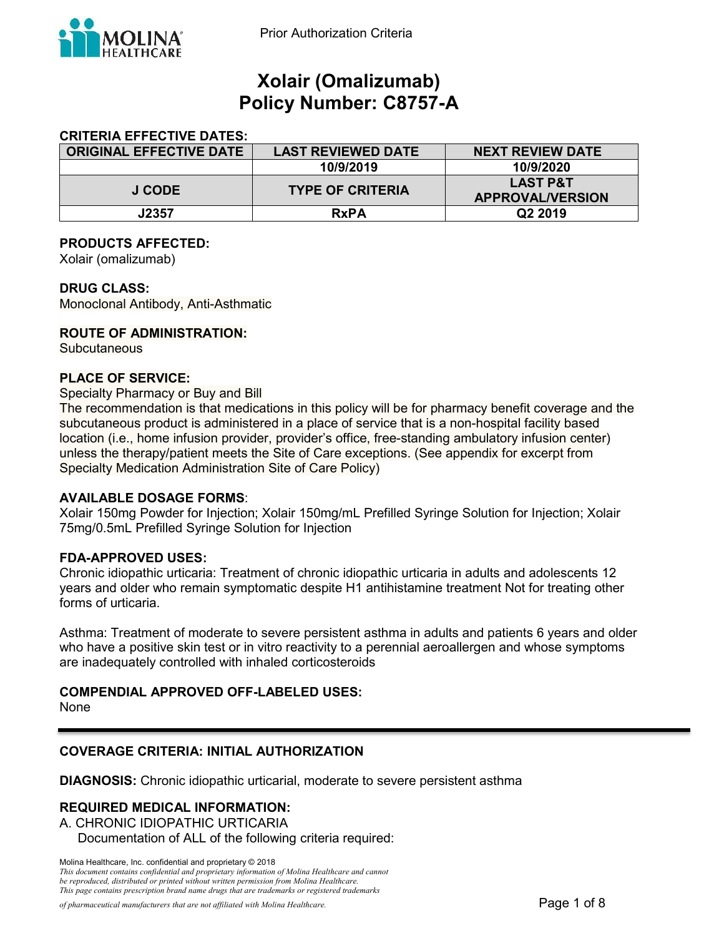

# **Xolair (Omalizumab) Policy Number: C8757-A**

### **CRITERIA EFFECTIVE DATES:**

| <b>ORIGINAL EFFECTIVE DATE</b> | <b>LAST REVIEWED DATE</b> | <b>NEXT REVIEW DATE</b>                        |
|--------------------------------|---------------------------|------------------------------------------------|
|                                | 10/9/2019                 | 10/9/2020                                      |
| J CODE                         | <b>TYPE OF CRITERIA</b>   | <b>LAST P&amp;T</b><br><b>APPROVAL/VERSION</b> |
| J2357                          | <b>RxPA</b>               | Q <sub>2</sub> 2019                            |

#### **PRODUCTS AFFECTED:**

Xolair (omalizumab)

#### **DRUG CLASS:**

Monoclonal Antibody, Anti-Asthmatic

#### **ROUTE OF ADMINISTRATION:**

**Subcutaneous** 

#### **PLACE OF SERVICE:**

Specialty Pharmacy or Buy and Bill

The recommendation is that medications in this policy will be for pharmacy benefit coverage and the subcutaneous product is administered in a place of service that is a non-hospital facility based location (i.e., home infusion provider, provider's office, free-standing ambulatory infusion center) unless the therapy/patient meets the Site of Care exceptions. (See appendix for excerpt from Specialty Medication Administration Site of Care Policy)

#### **AVAILABLE DOSAGE FORMS**:

Xolair 150mg Powder for Injection; Xolair 150mg/mL Prefilled Syringe Solution for Injection; Xolair 75mg/0.5mL Prefilled Syringe Solution for Injection

#### **FDA-APPROVED USES:**

Chronic idiopathic urticaria: Treatment of chronic idiopathic urticaria in adults and adolescents 12 years and older who remain symptomatic despite H1 antihistamine treatment Not for treating other forms of urticaria.

Asthma: Treatment of moderate to severe persistent asthma in adults and patients 6 years and older who have a positive skin test or in vitro reactivity to a perennial aeroallergen and whose symptoms are inadequately controlled with inhaled corticosteroids

### **COMPENDIAL APPROVED OFF-LABELED USES:**

None

#### **COVERAGE CRITERIA: INITIAL AUTHORIZATION**

**DIAGNOSIS:** Chronic idiopathic urticarial, moderate to severe persistent asthma

### **REQUIRED MEDICAL INFORMATION:**

A. CHRONIC IDIOPATHIC URTICARIA Documentation of ALL of the following criteria required:

Molina Healthcare, Inc. confidential and proprietary © 2018 *This document contains confidential and proprietary information of Molina Healthcare and cannot* 

*be reproduced, distributed or printed without written permission from Molina Healthcare. This page contains prescription brand name drugs that are trademarks or registered trademarks*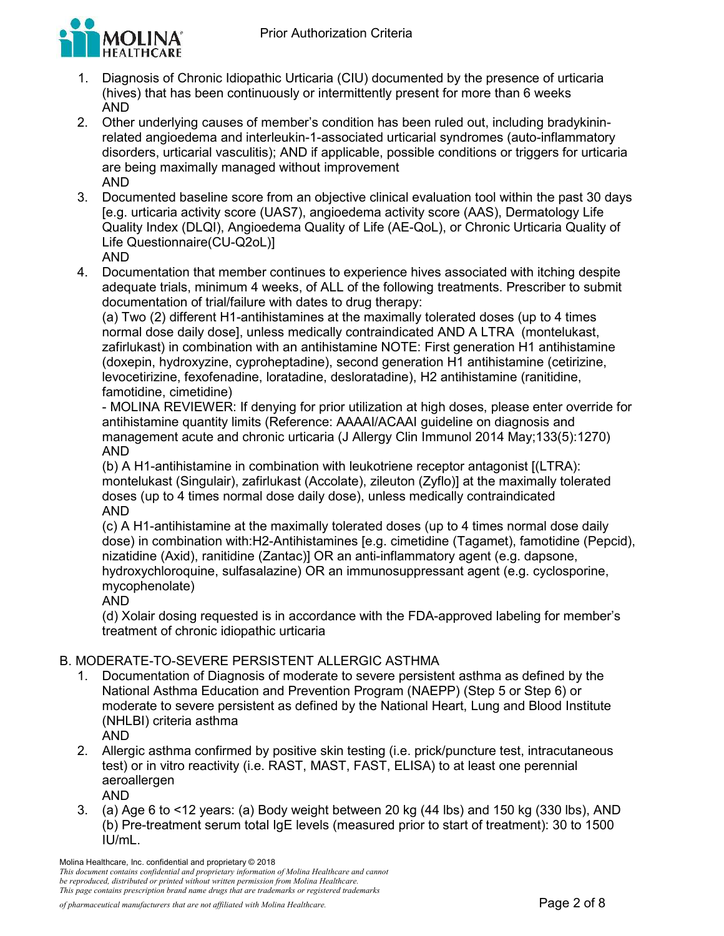

- 1. Diagnosis of Chronic Idiopathic Urticaria (CIU) documented by the presence of urticaria (hives) that has been continuously or intermittently present for more than 6 weeks AND
- 2. Other underlying causes of member's condition has been ruled out, including bradykininrelated angioedema and interleukin-1-associated urticarial syndromes (auto-inflammatory disorders, urticarial vasculitis); AND if applicable, possible conditions or triggers for urticaria are being maximally managed without improvement AND
- 3. Documented baseline score from an objective clinical evaluation tool within the past 30 days [e.g. urticaria activity score (UAS7), angioedema activity score (AAS), Dermatology Life Quality Index (DLQI), Angioedema Quality of Life (AE-QoL), or Chronic Urticaria Quality of Life Questionnaire(CU-Q2oL)] AND
- 4. Documentation that member continues to experience hives associated with itching despite adequate trials, minimum 4 weeks, of ALL of the following treatments. Prescriber to submit documentation of trial/failure with dates to drug therapy:

(a) Two (2) different H1-antihistamines at the maximally tolerated doses (up to 4 times normal dose daily dose], unless medically contraindicated AND A LTRA (montelukast, zafirlukast) in combination with an antihistamine NOTE: First generation H1 antihistamine (doxepin, hydroxyzine, cyproheptadine), second generation H1 antihistamine (cetirizine, levocetirizine, fexofenadine, loratadine, desloratadine), H2 antihistamine (ranitidine, famotidine, cimetidine)

- MOLINA REVIEWER: If denying for prior utilization at high doses, please enter override for antihistamine quantity limits (Reference: AAAAI/ACAAI guideline on diagnosis and management acute and chronic urticaria (J Allergy Clin Immunol 2014 May;133(5):1270) AND

(b) A H1-antihistamine in combination with leukotriene receptor antagonist [(LTRA): montelukast (Singulair), zafirlukast (Accolate), zileuton (Zyflo)] at the maximally tolerated doses (up to 4 times normal dose daily dose), unless medically contraindicated AND

(c) A H1-antihistamine at the maximally tolerated doses (up to 4 times normal dose daily dose) in combination with:H2-Antihistamines [e.g. cimetidine (Tagamet), famotidine (Pepcid), nizatidine (Axid), ranitidine (Zantac)] OR an anti-inflammatory agent (e.g. dapsone, hydroxychloroquine, sulfasalazine) OR an immunosuppressant agent (e.g. cyclosporine, mycophenolate)

AND

(d) Xolair dosing requested is in accordance with the FDA-approved labeling for member's treatment of chronic idiopathic urticaria

# B. MODERATE-TO-SEVERE PERSISTENT ALLERGIC ASTHMA

- 1. Documentation of Diagnosis of moderate to severe persistent asthma as defined by the National Asthma Education and Prevention Program (NAEPP) (Step 5 or Step 6) or moderate to severe persistent as defined by the National Heart, Lung and Blood Institute (NHLBI) criteria asthma AND
- 2. Allergic asthma confirmed by positive skin testing (i.e. prick/puncture test, intracutaneous test) or in vitro reactivity (i.e. RAST, MAST, FAST, ELISA) to at least one perennial aeroallergen AND
- 3. (a) Age 6 to <12 years: (a) Body weight between 20 kg (44 lbs) and 150 kg (330 lbs), AND (b) Pre-treatment serum total IgE levels (measured prior to start of treatment): 30 to 1500 IU/mL.

Molina Healthcare, Inc. confidential and proprietary © 2018

*This document contains confidential and proprietary information of Molina Healthcare and cannot be reproduced, distributed or printed without written permission from Molina Healthcare. This page contains prescription brand name drugs that are trademarks or registered trademarks*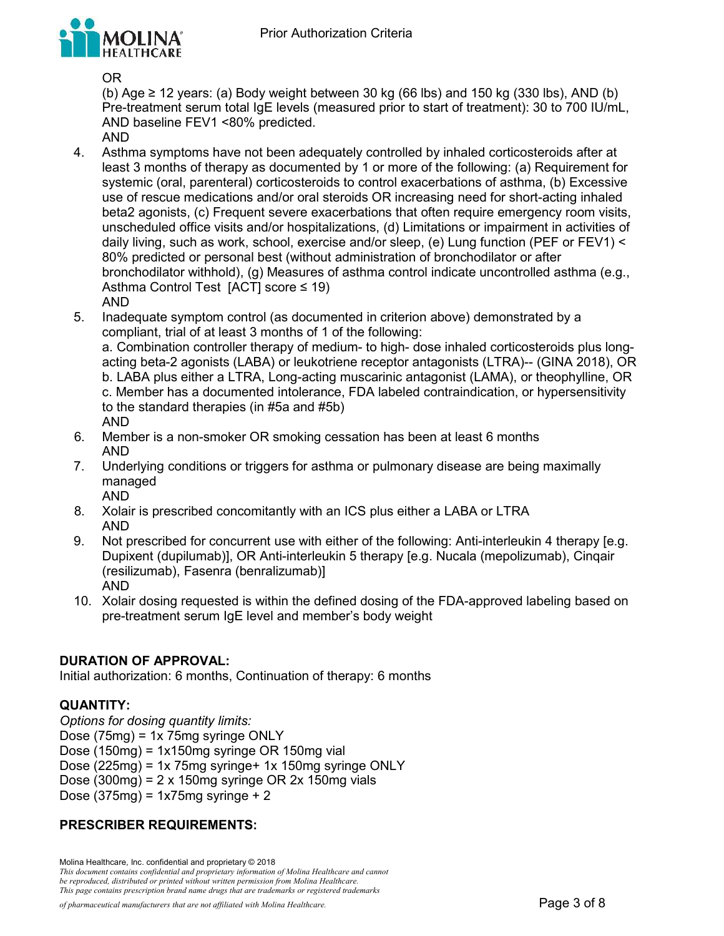

OR

(b) Age  $\geq$  12 years: (a) Body weight between 30 kg (66 lbs) and 150 kg (330 lbs), AND (b) Pre-treatment serum total IgE levels (measured prior to start of treatment): 30 to 700 IU/mL, AND baseline FEV1 <80% predicted.

- AND
- 4. Asthma symptoms have not been adequately controlled by inhaled corticosteroids after at least 3 months of therapy as documented by 1 or more of the following: (a) Requirement for systemic (oral, parenteral) corticosteroids to control exacerbations of asthma, (b) Excessive use of rescue medications and/or oral steroids OR increasing need for short-acting inhaled beta2 agonists, (c) Frequent severe exacerbations that often require emergency room visits, unscheduled office visits and/or hospitalizations, (d) Limitations or impairment in activities of daily living, such as work, school, exercise and/or sleep, (e) Lung function (PEF or FEV1) < 80% predicted or personal best (without administration of bronchodilator or after bronchodilator withhold), (g) Measures of asthma control indicate uncontrolled asthma (e.g., Asthma Control Test [ACT] score ≤ 19) AND
- 5. Inadequate symptom control (as documented in criterion above) demonstrated by a compliant, trial of at least 3 months of 1 of the following: a. Combination controller therapy of medium- to high- dose inhaled corticosteroids plus longacting beta-2 agonists (LABA) or leukotriene receptor antagonists (LTRA)-- (GINA 2018), OR b. LABA plus either a LTRA, Long-acting muscarinic antagonist (LAMA), or theophylline, OR c. Member has a documented intolerance, FDA labeled contraindication, or hypersensitivity to the standard therapies (in #5a and #5b) AND
- 6. Member is a non-smoker OR smoking cessation has been at least 6 months AND
- 7. Underlying conditions or triggers for asthma or pulmonary disease are being maximally managed AND
- 8. Xolair is prescribed concomitantly with an ICS plus either a LABA or LTRA AND
- 9. Not prescribed for concurrent use with either of the following: Anti-interleukin 4 therapy [e.g. Dupixent (dupilumab)], OR Anti-interleukin 5 therapy [e.g. Nucala (mepolizumab), Cinqair (resilizumab), Fasenra (benralizumab)] AND
- 10. Xolair dosing requested is within the defined dosing of the FDA-approved labeling based on pre-treatment serum IgE level and member's body weight

# **DURATION OF APPROVAL:**

Initial authorization: 6 months, Continuation of therapy: 6 months

# **QUANTITY:**

*Options for dosing quantity limits:*  Dose (75mg) = 1x 75mg syringe ONLY Dose (150mg) = 1x150mg syringe OR 150mg vial Dose (225mg) = 1x 75mg syringe+ 1x 150mg syringe ONLY Dose (300mg) =  $2 \times 150$ mg syringe OR  $2 \times 150$ mg vials Dose (375mg) = 1x75mg syringe + 2

# **PRESCRIBER REQUIREMENTS:**

Molina Healthcare, Inc. confidential and proprietary © 2018 *This document contains confidential and proprietary information of Molina Healthcare and cannot be reproduced, distributed or printed without written permission from Molina Healthcare. This page contains prescription brand name drugs that are trademarks or registered trademarks*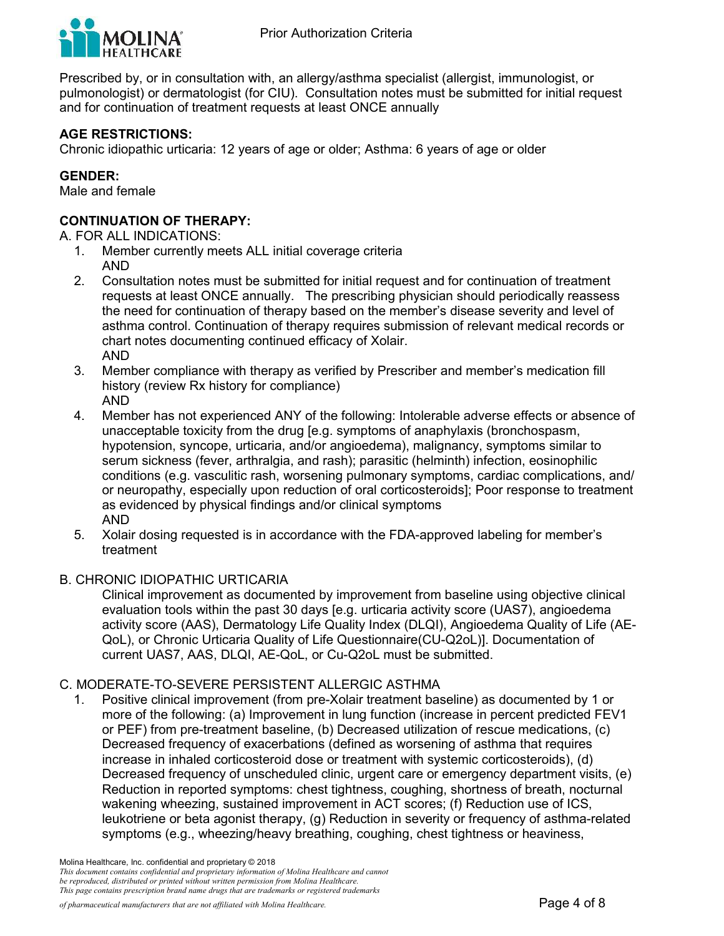

Prescribed by, or in consultation with, an allergy/asthma specialist (allergist, immunologist, or pulmonologist) or dermatologist (for CIU). Consultation notes must be submitted for initial request and for continuation of treatment requests at least ONCE annually

#### **AGE RESTRICTIONS:**

Chronic idiopathic urticaria: 12 years of age or older; Asthma: 6 years of age or older

### **GENDER:**

Male and female

# **CONTINUATION OF THERAPY:**

A. FOR ALL INDICATIONS:

- 1. Member currently meets ALL initial coverage criteria AND
- 2. Consultation notes must be submitted for initial request and for continuation of treatment requests at least ONCE annually. The prescribing physician should periodically reassess the need for continuation of therapy based on the member's disease severity and level of asthma control. Continuation of therapy requires submission of relevant medical records or chart notes documenting continued efficacy of Xolair. AND
- 3. Member compliance with therapy as verified by Prescriber and member's medication fill history (review Rx history for compliance) AND
- 4. Member has not experienced ANY of the following: Intolerable adverse effects or absence of unacceptable toxicity from the drug [e.g. symptoms of anaphylaxis (bronchospasm, hypotension, syncope, urticaria, and/or angioedema), malignancy, symptoms similar to serum sickness (fever, arthralgia, and rash); parasitic (helminth) infection, eosinophilic conditions (e.g. vasculitic rash, worsening pulmonary symptoms, cardiac complications, and/ or neuropathy, especially upon reduction of oral corticosteroids]; Poor response to treatment as evidenced by physical findings and/or clinical symptoms AND
- 5. Xolair dosing requested is in accordance with the FDA-approved labeling for member's treatment

#### B. CHRONIC IDIOPATHIC URTICARIA

Clinical improvement as documented by improvement from baseline using objective clinical evaluation tools within the past 30 days [e.g. urticaria activity score (UAS7), angioedema activity score (AAS), Dermatology Life Quality Index (DLQI), Angioedema Quality of Life (AE-QoL), or Chronic Urticaria Quality of Life Questionnaire(CU-Q2oL)]. Documentation of current UAS7, AAS, DLQI, AE-QoL, or Cu-Q2oL must be submitted.

#### C. MODERATE-TO-SEVERE PERSISTENT ALLERGIC ASTHMA

1. Positive clinical improvement (from pre-Xolair treatment baseline) as documented by 1 or more of the following: (a) Improvement in lung function (increase in percent predicted FEV1 or PEF) from pre-treatment baseline, (b) Decreased utilization of rescue medications, (c) Decreased frequency of exacerbations (defined as worsening of asthma that requires increase in inhaled corticosteroid dose or treatment with systemic corticosteroids), (d) Decreased frequency of unscheduled clinic, urgent care or emergency department visits, (e) Reduction in reported symptoms: chest tightness, coughing, shortness of breath, nocturnal wakening wheezing, sustained improvement in ACT scores; (f) Reduction use of ICS, leukotriene or beta agonist therapy, (g) Reduction in severity or frequency of asthma-related symptoms (e.g., wheezing/heavy breathing, coughing, chest tightness or heaviness,

Molina Healthcare, Inc. confidential and proprietary © 2018

*This document contains confidential and proprietary information of Molina Healthcare and cannot be reproduced, distributed or printed without written permission from Molina Healthcare. This page contains prescription brand name drugs that are trademarks or registered trademarks*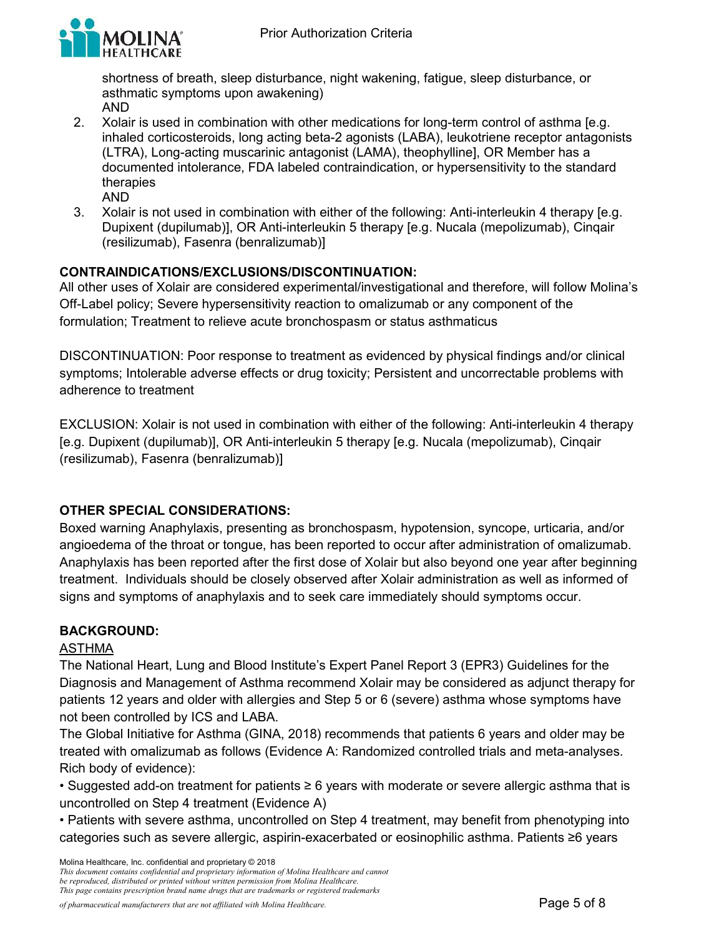

shortness of breath, sleep disturbance, night wakening, fatigue, sleep disturbance, or asthmatic symptoms upon awakening) AND

- 2. Xolair is used in combination with other medications for long-term control of asthma [e.g. inhaled corticosteroids, long acting beta-2 agonists (LABA), leukotriene receptor antagonists (LTRA), Long-acting muscarinic antagonist (LAMA), theophylline], OR Member has a documented intolerance, FDA labeled contraindication, or hypersensitivity to the standard therapies
	- AND
- 3. Xolair is not used in combination with either of the following: Anti-interleukin 4 therapy [e.g. Dupixent (dupilumab)], OR Anti-interleukin 5 therapy [e.g. Nucala (mepolizumab), Cinqair (resilizumab), Fasenra (benralizumab)]

# **CONTRAINDICATIONS/EXCLUSIONS/DISCONTINUATION:**

All other uses of Xolair are considered experimental/investigational and therefore, will follow Molina's Off-Label policy; Severe hypersensitivity reaction to omalizumab or any component of the formulation; Treatment to relieve acute bronchospasm or status asthmaticus

DISCONTINUATION: Poor response to treatment as evidenced by physical findings and/or clinical symptoms; Intolerable adverse effects or drug toxicity; Persistent and uncorrectable problems with adherence to treatment

EXCLUSION: Xolair is not used in combination with either of the following: Anti-interleukin 4 therapy [e.g. Dupixent (dupilumab)], OR Anti-interleukin 5 therapy [e.g. Nucala (mepolizumab), Cinqair (resilizumab), Fasenra (benralizumab)]

# **OTHER SPECIAL CONSIDERATIONS:**

Boxed warning Anaphylaxis, presenting as bronchospasm, hypotension, syncope, urticaria, and/or angioedema of the throat or tongue, has been reported to occur after administration of omalizumab. Anaphylaxis has been reported after the first dose of Xolair but also beyond one year after beginning treatment. Individuals should be closely observed after Xolair administration as well as informed of signs and symptoms of anaphylaxis and to seek care immediately should symptoms occur.

# **BACKGROUND:**

# ASTHMA

The National Heart, Lung and Blood Institute's Expert Panel Report 3 (EPR3) Guidelines for the Diagnosis and Management of Asthma recommend Xolair may be considered as adjunct therapy for patients 12 years and older with allergies and Step 5 or 6 (severe) asthma whose symptoms have not been controlled by ICS and LABA.

The Global Initiative for Asthma (GINA, 2018) recommends that patients 6 years and older may be treated with omalizumab as follows (Evidence A: Randomized controlled trials and meta-analyses. Rich body of evidence):

• Suggested add-on treatment for patients ≥ 6 years with moderate or severe allergic asthma that is uncontrolled on Step 4 treatment (Evidence A)

• Patients with severe asthma, uncontrolled on Step 4 treatment, may benefit from phenotyping into categories such as severe allergic, aspirin-exacerbated or eosinophilic asthma. Patients ≥6 years

Molina Healthcare, Inc. confidential and proprietary © 2018

*This document contains confidential and proprietary information of Molina Healthcare and cannot be reproduced, distributed or printed without written permission from Molina Healthcare. This page contains prescription brand name drugs that are trademarks or registered trademarks*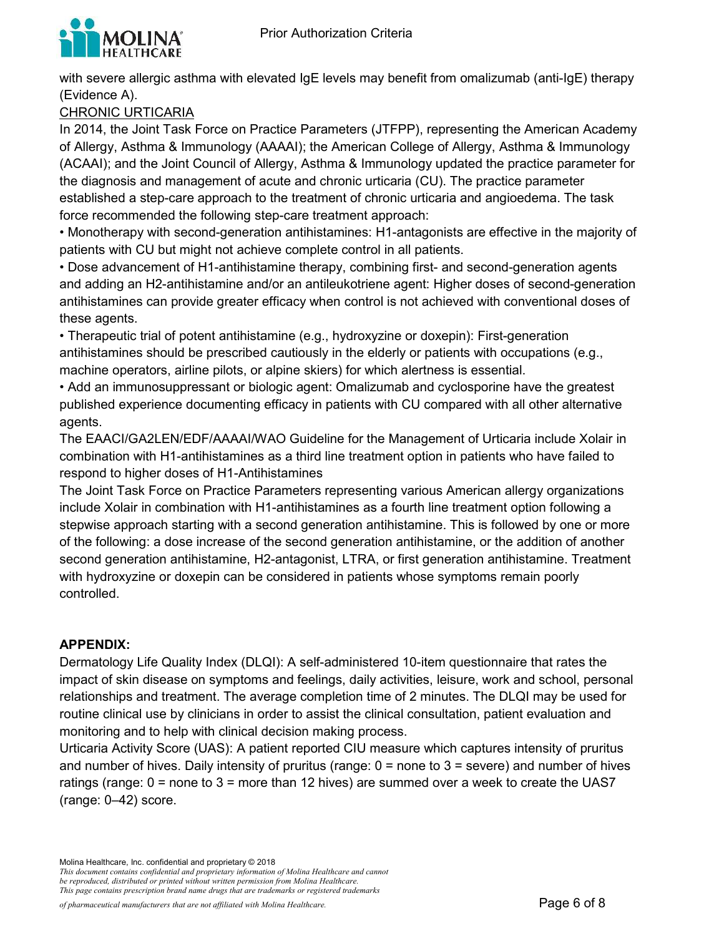

with severe allergic asthma with elevated IgE levels may benefit from omalizumab (anti-IgE) therapy (Evidence A).

CHRONIC URTICARIA

In 2014, the Joint Task Force on Practice Parameters (JTFPP), representing the American Academy of Allergy, Asthma & Immunology (AAAAI); the American College of Allergy, Asthma & Immunology (ACAAI); and the Joint Council of Allergy, Asthma & Immunology updated the practice parameter for the diagnosis and management of acute and chronic urticaria (CU). The practice parameter established a step-care approach to the treatment of chronic urticaria and angioedema. The task force recommended the following step-care treatment approach:

• Monotherapy with second-generation antihistamines: H1-antagonists are effective in the majority of patients with CU but might not achieve complete control in all patients.

• Dose advancement of H1-antihistamine therapy, combining first- and second-generation agents and adding an H2-antihistamine and/or an antileukotriene agent: Higher doses of second-generation antihistamines can provide greater efficacy when control is not achieved with conventional doses of these agents.

• Therapeutic trial of potent antihistamine (e.g., hydroxyzine or doxepin): First-generation antihistamines should be prescribed cautiously in the elderly or patients with occupations (e.g., machine operators, airline pilots, or alpine skiers) for which alertness is essential.

• Add an immunosuppressant or biologic agent: Omalizumab and cyclosporine have the greatest published experience documenting efficacy in patients with CU compared with all other alternative agents.

The EAACI/GA2LEN/EDF/AAAAI/WAO Guideline for the Management of Urticaria include Xolair in combination with H1-antihistamines as a third line treatment option in patients who have failed to respond to higher doses of H1-Antihistamines

The Joint Task Force on Practice Parameters representing various American allergy organizations include Xolair in combination with H1-antihistamines as a fourth line treatment option following a stepwise approach starting with a second generation antihistamine. This is followed by one or more of the following: a dose increase of the second generation antihistamine, or the addition of another second generation antihistamine, H2-antagonist, LTRA, or first generation antihistamine. Treatment with hydroxyzine or doxepin can be considered in patients whose symptoms remain poorly controlled.

# **APPENDIX:**

Dermatology Life Quality Index (DLQI): A self-administered 10-item questionnaire that rates the impact of skin disease on symptoms and feelings, daily activities, leisure, work and school, personal relationships and treatment. The average completion time of 2 minutes. The DLQI may be used for routine clinical use by clinicians in order to assist the clinical consultation, patient evaluation and monitoring and to help with clinical decision making process.

Urticaria Activity Score (UAS): A patient reported CIU measure which captures intensity of pruritus and number of hives. Daily intensity of pruritus (range:  $0 =$  none to  $3 =$  severe) and number of hives ratings (range: 0 = none to 3 = more than 12 hives) are summed over a week to create the UAS7 (range: 0–42) score.

Molina Healthcare, Inc. confidential and proprietary © 2018 *This document contains confidential and proprietary information of Molina Healthcare and cannot be reproduced, distributed or printed without written permission from Molina Healthcare. This page contains prescription brand name drugs that are trademarks or registered trademarks*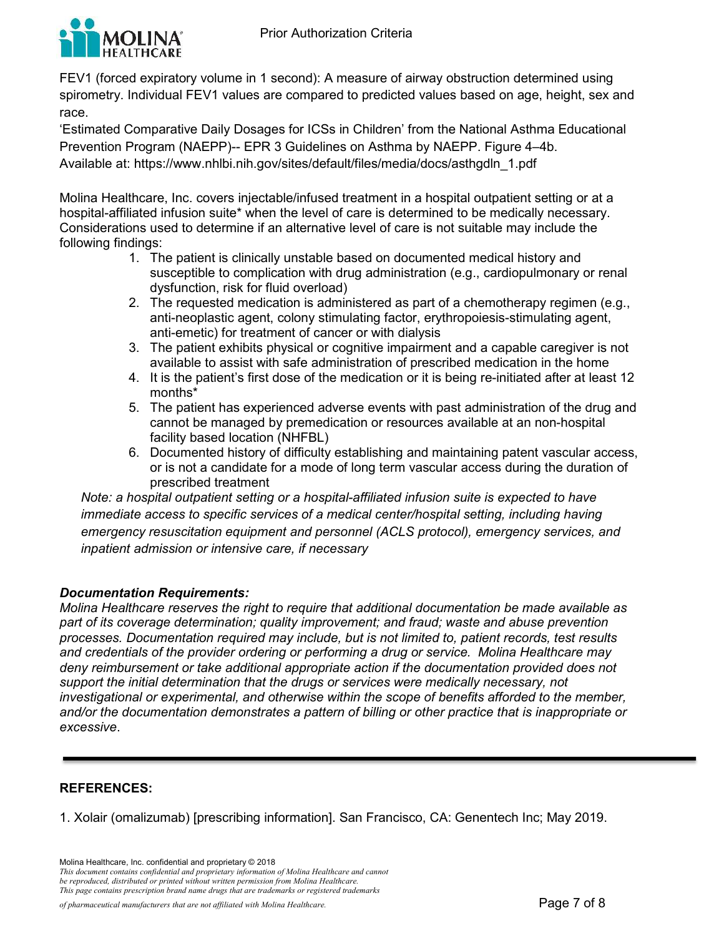

FEV1 (forced expiratory volume in 1 second): A measure of airway obstruction determined using spirometry. Individual FEV1 values are compared to predicted values based on age, height, sex and race.

'Estimated Comparative Daily Dosages for ICSs in Children' from the National Asthma Educational Prevention Program (NAEPP)-- EPR 3 Guidelines on Asthma by NAEPP. Figure 4–4b. Available at: [https://www.nhlbi.nih.gov/sites/default/files/media/docs/asthgdln\\_1.pdf](https://www.nhlbi.nih.gov/sites/default/files/media/docs/asthgdln_1.pdf) 

Molina Healthcare, Inc. covers injectable/infused treatment in a hospital outpatient setting or at a hospital-affiliated infusion suite\* when the level of care is determined to be medically necessary. Considerations used to determine if an alternative level of care is not suitable may include the following findings:

- 1. The patient is clinically unstable based on documented medical history and susceptible to complication with drug administration (e.g., cardiopulmonary or renal dysfunction, risk for fluid overload)
- 2. The requested medication is administered as part of a chemotherapy regimen (e.g., anti-neoplastic agent, colony stimulating factor, erythropoiesis-stimulating agent, anti-emetic) for treatment of cancer or with dialysis
- 3. The patient exhibits physical or cognitive impairment and a capable caregiver is not available to assist with safe administration of prescribed medication in the home
- 4. It is the patient's first dose of the medication or it is being re-initiated after at least 12 months\*
- 5. The patient has experienced adverse events with past administration of the drug and cannot be managed by premedication or resources available at an non-hospital facility based location (NHFBL)
- 6. Documented history of difficulty establishing and maintaining patent vascular access, or is not a candidate for a mode of long term vascular access during the duration of prescribed treatment

*Note: a hospital outpatient setting or a hospital-affiliated infusion suite is expected to have immediate access to specific services of a medical center/hospital setting, including having emergency resuscitation equipment and personnel (ACLS protocol), emergency services, and inpatient admission or intensive care, if necessary*

# *Documentation Requirements:*

*Molina Healthcare reserves the right to require that additional documentation be made available as part of its coverage determination; quality improvement; and fraud; waste and abuse prevention processes. Documentation required may include, but is not limited to, patient records, test results and credentials of the provider ordering or performing a drug or service. Molina Healthcare may deny reimbursement or take additional appropriate action if the documentation provided does not support the initial determination that the drugs or services were medically necessary, not investigational or experimental, and otherwise within the scope of benefits afforded to the member, and/or the documentation demonstrates a pattern of billing or other practice that is inappropriate or excessive*.

#### **REFERENCES:**

1. Xolair (omalizumab) [prescribing information]. San Francisco, CA: Genentech Inc; May 2019.

Molina Healthcare, Inc. confidential and proprietary © 2018 *This document contains confidential and proprietary information of Molina Healthcare and cannot be reproduced, distributed or printed without written permission from Molina Healthcare. This page contains prescription brand name drugs that are trademarks or registered trademarks*